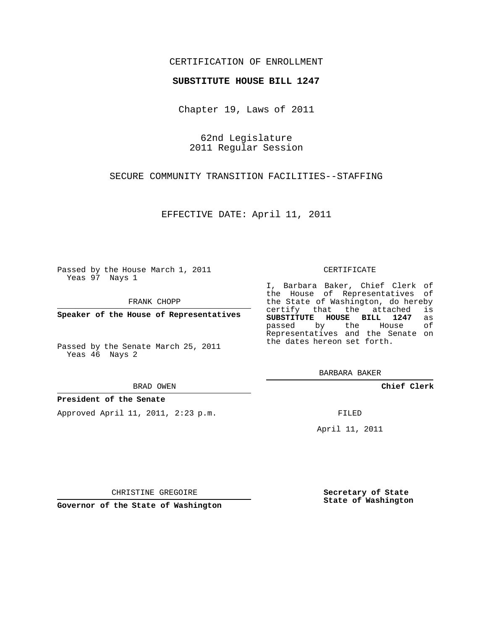## CERTIFICATION OF ENROLLMENT

### **SUBSTITUTE HOUSE BILL 1247**

Chapter 19, Laws of 2011

62nd Legislature 2011 Regular Session

SECURE COMMUNITY TRANSITION FACILITIES--STAFFING

EFFECTIVE DATE: April 11, 2011

Passed by the House March 1, 2011 Yeas 97 Nays 1

FRANK CHOPP

**Speaker of the House of Representatives**

Passed by the Senate March 25, 2011 Yeas 46 Nays 2

#### BRAD OWEN

### **President of the Senate**

Approved April 11, 2011, 2:23 p.m.

#### CERTIFICATE

I, Barbara Baker, Chief Clerk of the House of Representatives of the State of Washington, do hereby<br>certify that the attached is certify that the attached **SUBSTITUTE HOUSE BILL 1247** as passed by the Representatives and the Senate on the dates hereon set forth.

BARBARA BAKER

**Chief Clerk**

FILED

April 11, 2011

**Secretary of State State of Washington**

CHRISTINE GREGOIRE

**Governor of the State of Washington**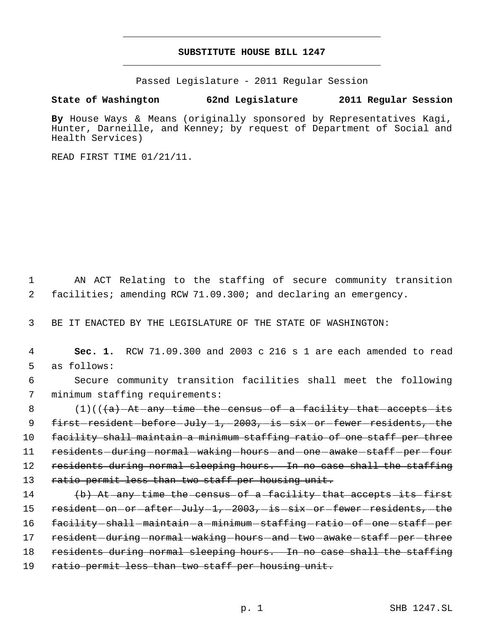# **SUBSTITUTE HOUSE BILL 1247** \_\_\_\_\_\_\_\_\_\_\_\_\_\_\_\_\_\_\_\_\_\_\_\_\_\_\_\_\_\_\_\_\_\_\_\_\_\_\_\_\_\_\_\_\_

\_\_\_\_\_\_\_\_\_\_\_\_\_\_\_\_\_\_\_\_\_\_\_\_\_\_\_\_\_\_\_\_\_\_\_\_\_\_\_\_\_\_\_\_\_

Passed Legislature - 2011 Regular Session

## **State of Washington 62nd Legislature 2011 Regular Session**

**By** House Ways & Means (originally sponsored by Representatives Kagi, Hunter, Darneille, and Kenney; by request of Department of Social and Health Services)

READ FIRST TIME 01/21/11.

 1 AN ACT Relating to the staffing of secure community transition 2 facilities; amending RCW 71.09.300; and declaring an emergency.

3 BE IT ENACTED BY THE LEGISLATURE OF THE STATE OF WASHINGTON:

 4 **Sec. 1.** RCW 71.09.300 and 2003 c 216 s 1 are each amended to read 5 as follows:

 6 Secure community transition facilities shall meet the following 7 minimum staffing requirements:

8 (1)((<del>(a) At any time the census of a facility that accepts its</del> 9 first-resident-before-July-1,-2003,-is-six-or-fewer-residents,-the 10 facility shall maintain a minimum staffing ratio of one staff per three 11 residents during normal waking hours and one awake staff per four 12 residents during normal sleeping hours. In no case shall the staffing 13 ratio permit less than two staff per housing unit.

14 (b) At any time the census of a facility that accepts its first 15 resident on or after July 1, 2003, is six or fewer residents, the 16 facility shall -maintain - a -minimum - staffing - ratio - of - one - staff - per 17 resident - during - normal - waking - hours - and - two - awake - staff - per - three 18 residents during normal sleeping hours. In no case shall the staffing 19 ratio permit less than two staff per housing unit.